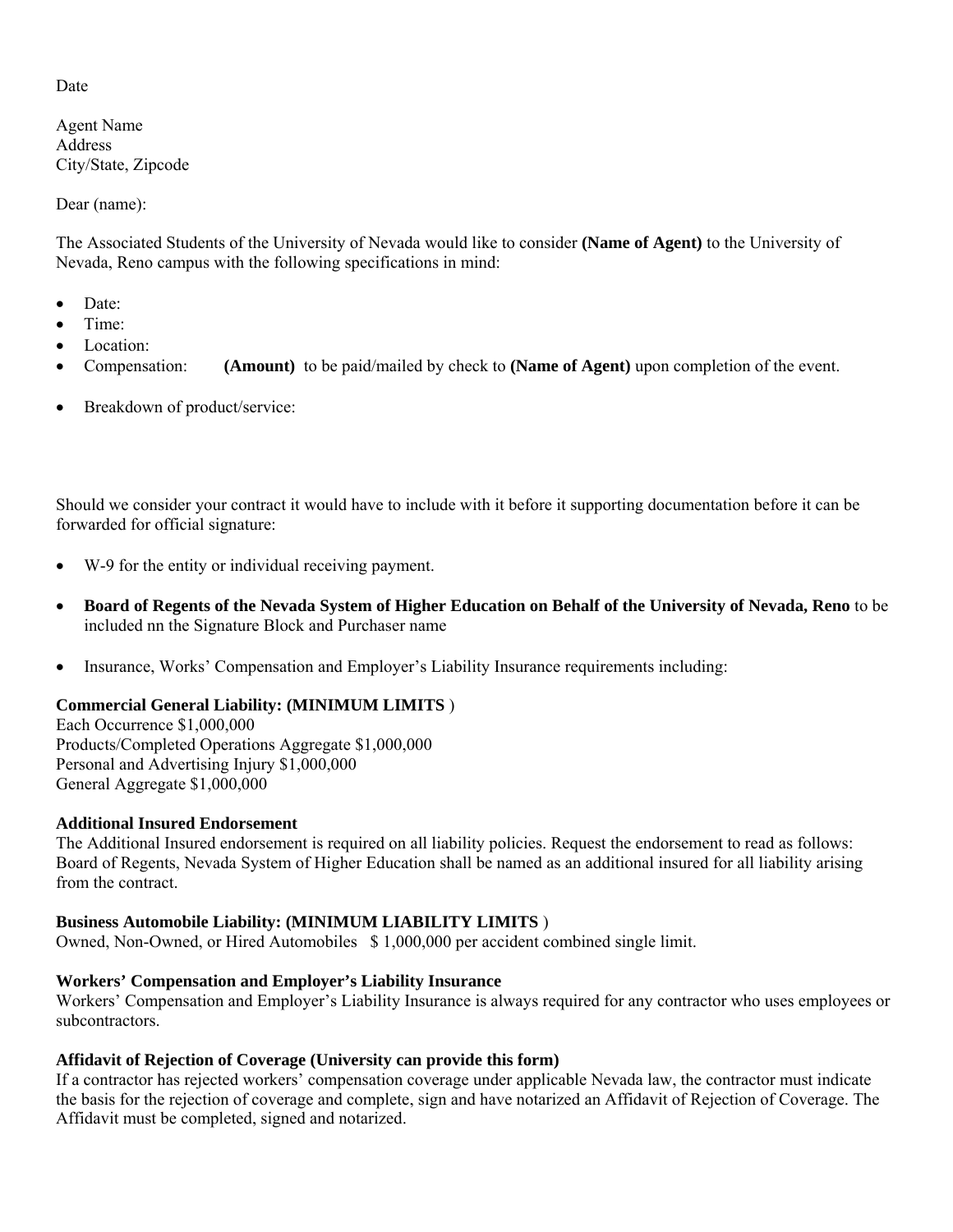# Date

Agent Name Address City/State, Zipcode

Dear (name):

The Associated Students of the University of Nevada would like to consider **(Name of Agent)** to the University of Nevada, Reno campus with the following specifications in mind:

- Date:
- Time<sup>.</sup>
- Location:
- Compensation: **(Amount)** to be paid/mailed by check to **(Name of Agent)** upon completion of the event.
- Breakdown of product/service:

Should we consider your contract it would have to include with it before it supporting documentation before it can be forwarded for official signature:

- W-9 for the entity or individual receiving payment.
- **Board of Regents of the Nevada System of Higher Education on Behalf of the University of Nevada, Reno** to be included nn the Signature Block and Purchaser name
- Insurance, Works' Compensation and Employer's Liability Insurance requirements including:

## **Commercial General Liability: (MINIMUM LIMITS** )

Each Occurrence \$1,000,000 Products/Completed Operations Aggregate \$1,000,000 Personal and Advertising Injury \$1,000,000 General Aggregate \$1,000,000

## **Additional Insured Endorsement**

The Additional Insured endorsement is required on all liability policies. Request the endorsement to read as follows: Board of Regents, Nevada System of Higher Education shall be named as an additional insured for all liability arising from the contract.

## **Business Automobile Liability: (MINIMUM LIABILITY LIMITS** )

Owned, Non-Owned, or Hired Automobiles \$ 1,000,000 per accident combined single limit.

## **Workers' Compensation and Employer's Liability Insurance**

Workers' Compensation and Employer's Liability Insurance is always required for any contractor who uses employees or subcontractors<sup>1</sup>

## **Affidavit of Rejection of Coverage (University can provide this form)**

If a contractor has rejected workers' compensation coverage under applicable Nevada law, the contractor must indicate the basis for the rejection of coverage and complete, sign and have notarized an Affidavit of Rejection of Coverage. The Affidavit must be completed, signed and notarized.